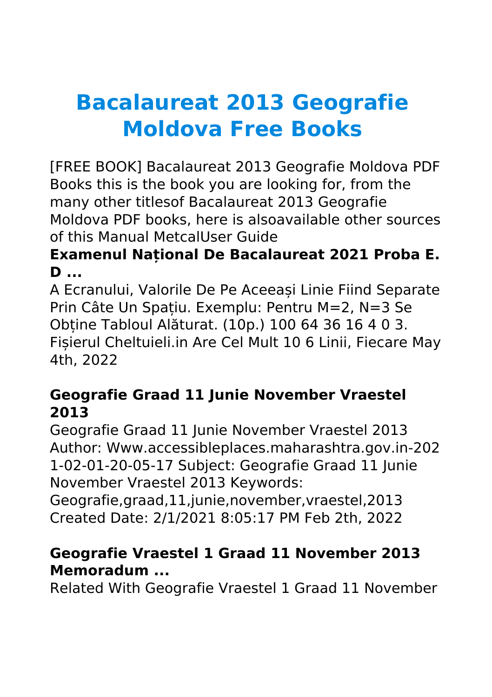# **Bacalaureat 2013 Geografie Moldova Free Books**

[FREE BOOK] Bacalaureat 2013 Geografie Moldova PDF Books this is the book you are looking for, from the many other titlesof Bacalaureat 2013 Geografie Moldova PDF books, here is alsoavailable other sources of this Manual MetcalUser Guide

# **Examenul Național De Bacalaureat 2021 Proba E. D ...**

A Ecranului, Valorile De Pe Aceeași Linie Fiind Separate Prin Câte Un Spațiu. Exemplu: Pentru M=2, N=3 Se Obține Tabloul Alăturat. (10p.) 100 64 36 16 4 0 3. Fișierul Cheltuieli.in Are Cel Mult 10 6 Linii, Fiecare May 4th, 2022

# **Geografie Graad 11 Junie November Vraestel 2013**

Geografie Graad 11 Junie November Vraestel 2013 Author: Www.accessibleplaces.maharashtra.gov.in-202 1-02-01-20-05-17 Subject: Geografie Graad 11 Junie November Vraestel 2013 Keywords:

Geografie,graad,11,junie,november,vraestel,2013 Created Date: 2/1/2021 8:05:17 PM Feb 2th, 2022

#### **Geografie Vraestel 1 Graad 11 November 2013 Memoradum ...**

Related With Geografie Vraestel 1 Graad 11 November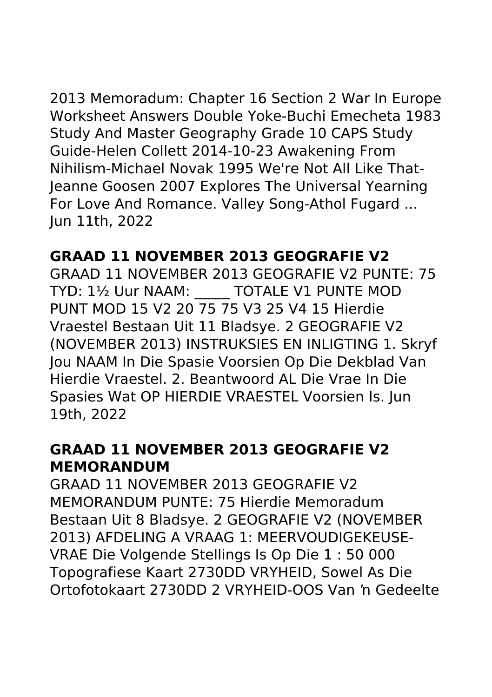2013 Memoradum: Chapter 16 Section 2 War In Europe Worksheet Answers Double Yoke-Buchi Emecheta 1983 Study And Master Geography Grade 10 CAPS Study Guide-Helen Collett 2014-10-23 Awakening From Nihilism-Michael Novak 1995 We're Not All Like That-Jeanne Goosen 2007 Explores The Universal Yearning For Love And Romance. Valley Song-Athol Fugard ... Jun 11th, 2022

# **GRAAD 11 NOVEMBER 2013 GEOGRAFIE V2**

GRAAD 11 NOVEMBER 2013 GEOGRAFIE V2 PUNTE: 75 TYD: 11/2 Uur NAAM: TOTALE V1 PUNTE MOD PUNT MOD 15 V2 20 75 75 V3 25 V4 15 Hierdie Vraestel Bestaan Uit 11 Bladsye. 2 GEOGRAFIE V2 (NOVEMBER 2013) INSTRUKSIES EN INLIGTING 1. Skryf Jou NAAM In Die Spasie Voorsien Op Die Dekblad Van Hierdie Vraestel. 2. Beantwoord AL Die Vrae In Die Spasies Wat OP HIERDIE VRAESTEL Voorsien Is. Jun 19th, 2022

#### **GRAAD 11 NOVEMBER 2013 GEOGRAFIE V2 MEMORANDUM**

GRAAD 11 NOVEMBER 2013 GEOGRAFIE V2 MEMORANDUM PUNTE: 75 Hierdie Memoradum Bestaan Uit 8 Bladsye. 2 GEOGRAFIE V2 (NOVEMBER 2013) AFDELING A VRAAG 1: MEERVOUDIGEKEUSE-VRAE Die Volgende Stellings Is Op Die 1 : 50 000 Topografiese Kaart 2730DD VRYHEID, Sowel As Die Ortofotokaart 2730DD 2 VRYHEID-OOS Van 'n Gedeelte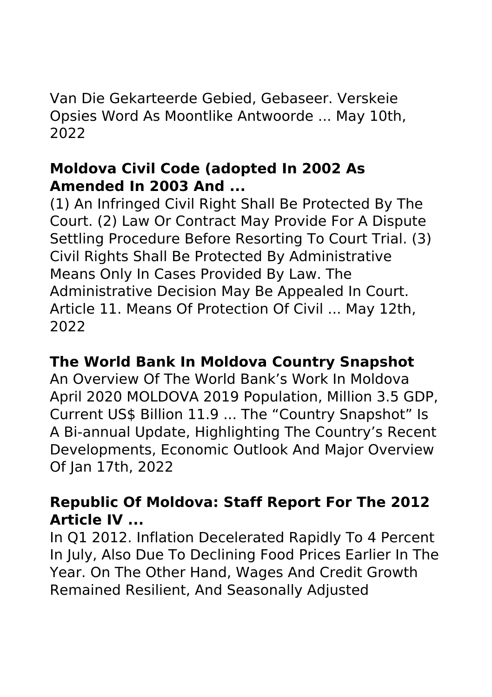Van Die Gekarteerde Gebied, Gebaseer. Verskeie Opsies Word As Moontlike Antwoorde ... May 10th, 2022

#### **Moldova Civil Code (adopted In 2002 As Amended In 2003 And ...**

(1) An Infringed Civil Right Shall Be Protected By The Court. (2) Law Or Contract May Provide For A Dispute Settling Procedure Before Resorting To Court Trial. (3) Civil Rights Shall Be Protected By Administrative Means Only In Cases Provided By Law. The Administrative Decision May Be Appealed In Court. Article 11. Means Of Protection Of Civil ... May 12th, 2022

#### **The World Bank In Moldova Country Snapshot**

An Overview Of The World Bank's Work In Moldova April 2020 MOLDOVA 2019 Population, Million 3.5 GDP, Current US\$ Billion 11.9 ... The "Country Snapshot" Is A Bi-annual Update, Highlighting The Country's Recent Developments, Economic Outlook And Major Overview Of Jan 17th, 2022

# **Republic Of Moldova: Staff Report For The 2012 Article IV ...**

In Q1 2012. Inflation Decelerated Rapidly To 4 Percent In July, Also Due To Declining Food Prices Earlier In The Year. On The Other Hand, Wages And Credit Growth Remained Resilient, And Seasonally Adjusted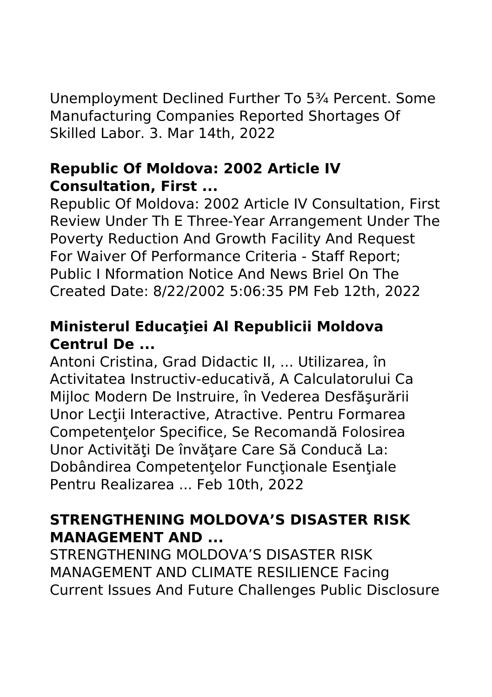Unemployment Declined Further To 5¾ Percent. Some Manufacturing Companies Reported Shortages Of Skilled Labor. 3. Mar 14th, 2022

#### **Republic Of Moldova: 2002 Article IV Consultation, First ...**

Republic Of Moldova: 2002 Article IV Consultation, First Review Under Th E Three-Year Arrangement Under The Poverty Reduction And Growth Facility And Request For Waiver Of Performance Criteria - Staff Report; Public I Nformation Notice And News Briel On The Created Date: 8/22/2002 5:06:35 PM Feb 12th, 2022

## **Ministerul Educaţiei Al Republicii Moldova Centrul De ...**

Antoni Cristina, Grad Didactic II, ... Utilizarea, în Activitatea Instructiv-educativă, A Calculatorului Ca Mijloc Modern De Instruire, în Vederea Desfăşurării Unor Lectii Interactive, Atractive. Pentru Formarea Competentelor Specifice, Se Recomandă Folosirea Unor Activități De învătare Care Să Conducă La: Dobândirea Competentelor Functionale Esentiale Pentru Realizarea ... Feb 10th, 2022

# **STRENGTHENING MOLDOVA'S DISASTER RISK MANAGEMENT AND ...**

STRENGTHENING MOLDOVA'S DISASTER RISK MANAGEMENT AND CLIMATE RESILIENCE Facing Current Issues And Future Challenges Public Disclosure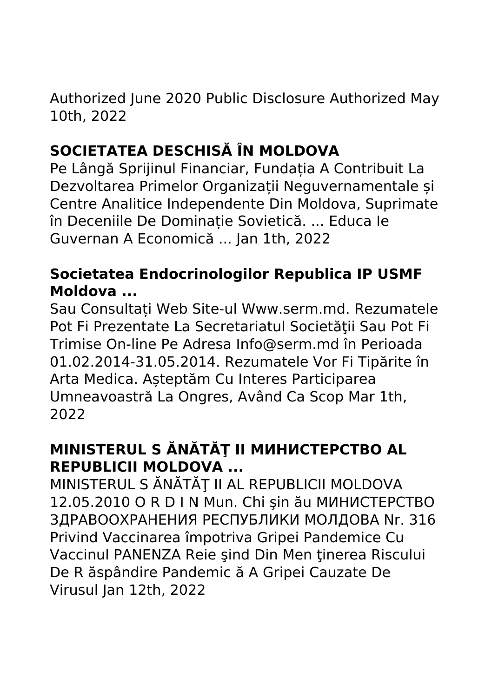Authorized June 2020 Public Disclosure Authorized May 10th, 2022

# **SOCIETATEA DESCHISĂ ÎN MOLDOVA**

Pe Lângă Sprijinul Financiar, Fundația A Contribuit La Dezvoltarea Primelor Organizații Neguvernamentale și Centre Analitice Independente Din Moldova, Suprimate în Deceniile De Dominație Sovietică. ... Educa Ie Guvernan A Economică ... Jan 1th, 2022

# **Societatea Endocrinologilor Republica IP USMF Moldova ...**

Sau Consultați Web Site-ul Www.serm.md. Rezumatele Pot Fi Prezentate La Secretariatul Societăţii Sau Pot Fi Trimise On-line Pe Adresa Info@serm.md în Perioada 01.02.2014-31.05.2014. Rezumatele Vor Fi Tipărite în Arta Medica. Așteptăm Cu Interes Participarea Umneavoastră La Ongres, Având Ca Scop Mar 1th, 2022

# **MINISTERUL S ĂNĂTĂŢ II МИНИСТЕРСТВО AL REPUBLICII MOLDOVA ...**

MINISTERUL S ĂNĂTĂŢ II AL REPUBLICII MOLDOVA 12.05.2010 O R D I N Mun. Chi şin ău МИНИСТЕРСТВО ЗДРАВООХРАНЕНИЯ РЕСПУБЛИКИ МОЛДОВА Nr. 316 Privind Vaccinarea împotriva Gripei Pandemice Cu Vaccinul PANENZA Reie sind Din Men tinerea Riscului De R ăspândire Pandemic ă A Gripei Cauzate De Virusul Jan 12th, 2022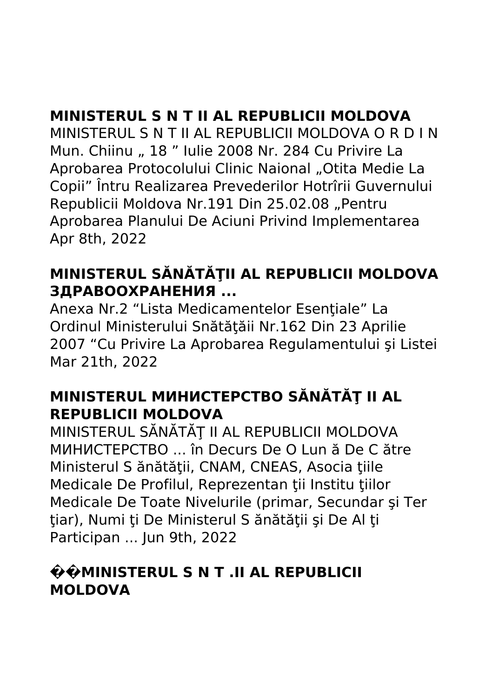# **MINISTERUL S N T II AL REPUBLICII MOLDOVA**

MINISTERUL S N T II AL REPUBLICII MOLDOVA O R D I N Mun. Chiinu " 18 " Iulie 2008 Nr. 284 Cu Privire La Aprobarea Protocolului Clinic Naional "Otita Medie La Copii" Întru Realizarea Prevederilor Hotrîrii Guvernului Republicii Moldova Nr.191 Din 25.02.08 "Pentru Aprobarea Planului De Aciuni Privind Implementarea Apr 8th, 2022

# **MINISTERUL SĂNĂTĂŢII AL REPUBLICII MOLDOVA ЗДРАВООХРАНЕНИЯ ...**

Anexa Nr.2 "Lista Medicamentelor Esentiale" La Ordinul Ministerului Snătăţăii Nr.162 Din 23 Aprilie 2007 "Cu Privire La Aprobarea Regulamentului şi Listei Mar 21th, 2022

# **MINISTERUL МИНИСТЕРСТВО SĂNĂTĂT II AL REPUBLICII MOLDOVA**

MINISTERUL SĂNĂTĂŢ II AL REPUBLICII MOLDOVA МИНИСТЕРСТВО ... în Decurs De O Lun ă De C ătre Ministerul S ănătății, CNAM, CNEAS, Asocia țiile Medicale De Profilul, Reprezentan tii Institu tiilor Medicale De Toate Nivelurile (primar, Secundar şi Ter tiar), Numi ți De Ministerul S ănătății și De Al ți Participan ... Jun 9th, 2022

#### **��MINISTERUL S N T .II AL REPUBLICII MOLDOVA**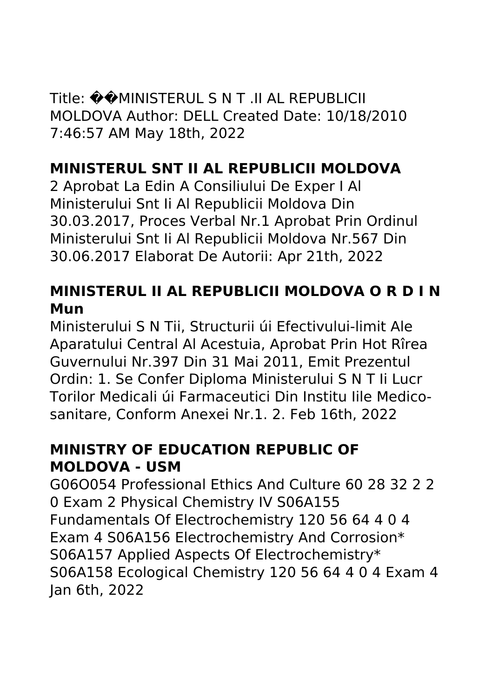Title: ��MINISTERUL S N T .II AL REPUBLICII MOLDOVA Author: DELL Created Date: 10/18/2010 7:46:57 AM May 18th, 2022

# **MINISTERUL SNT II AL REPUBLICII MOLDOVA**

2 Aprobat La Edin A Consiliului De Exper I Al Ministerului Snt Ii Al Republicii Moldova Din 30.03.2017, Proces Verbal Nr.1 Aprobat Prin Ordinul Ministerului Snt Ii Al Republicii Moldova Nr.567 Din 30.06.2017 Elaborat De Autorii: Apr 21th, 2022

# **MINISTERUL II AL REPUBLICII MOLDOVA O R D I N Mun**

Ministerului S N Tii, Structurii úi Efectivului-limit Ale Aparatului Central Al Acestuia, Aprobat Prin Hot Rîrea Guvernului Nr.397 Din 31 Mai 2011, Emit Prezentul Ordin: 1. Se Confer Diploma Ministerului S N T Ii Lucr Torilor Medicali úi Farmaceutici Din Institu Iile Medicosanitare, Conform Anexei Nr.1. 2. Feb 16th, 2022

# **MINISTRY OF EDUCATION REPUBLIC OF MOLDOVA - USM**

G06O054 Professional Ethics And Culture 60 28 32 2 2 0 Exam 2 Physical Chemistry IV S06A155 Fundamentals Of Electrochemistry 120 56 64 4 0 4 Exam 4 S06A156 Electrochemistry And Corrosion\* S06A157 Applied Aspects Of Electrochemistry\* S06A158 Ecological Chemistry 120 56 64 4 0 4 Exam 4 Jan 6th, 2022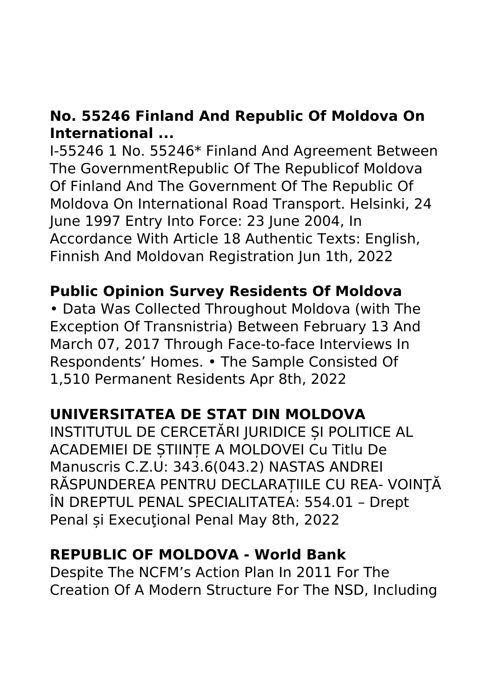# **No. 55246 Finland And Republic Of Moldova On International ...**

I-55246 1 No. 55246\* Finland And Agreement Between The GovernmentRepublic Of The Republicof Moldova Of Finland And The Government Of The Republic Of Moldova On International Road Transport. Helsinki, 24 June 1997 Entry Into Force: 23 June 2004, In Accordance With Article 18 Authentic Texts: English, Finnish And Moldovan Registration Jun 1th, 2022

#### **Public Opinion Survey Residents Of Moldova**

• Data Was Collected Throughout Moldova (with The Exception Of Transnistria) Between February 13 And March 07, 2017 Through Face-to-face Interviews In Respondents' Homes. • The Sample Consisted Of 1,510 Permanent Residents Apr 8th, 2022

# **UNIVERSITATEA DE STAT DIN MOLDOVA**

INSTITUTUL DE CERCETĂRI JURIDICE ȘI POLITICE AL ACADEMIEI DE ȘTIINȚE A MOLDOVEI Cu Titlu De Manuscris C.Z.U: 343.6(043.2) NASTAS ANDREI RĂSPUNDEREA PENTRU DECLARAȚIILE CU REA- VOINŢĂ ÎN DREPTUL PENAL SPECIALITATEA: 554.01 – Drept Penal și Execuțional Penal May 8th, 2022

#### **REPUBLIC OF MOLDOVA - World Bank**

Despite The NCFM's Action Plan In 2011 For The Creation Of A Modern Structure For The NSD, Including